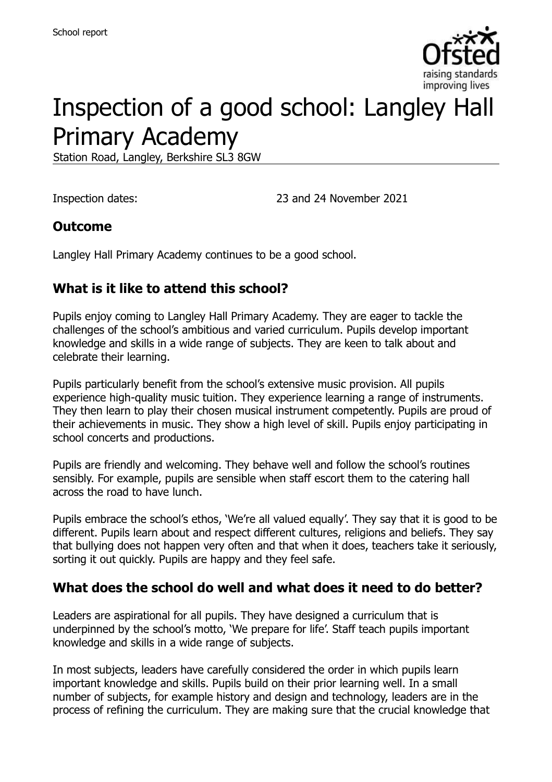

# Inspection of a good school: Langley Hall Primary Academy

Station Road, Langley, Berkshire SL3 8GW

Inspection dates: 23 and 24 November 2021

### **Outcome**

Langley Hall Primary Academy continues to be a good school.

### **What is it like to attend this school?**

Pupils enjoy coming to Langley Hall Primary Academy. They are eager to tackle the challenges of the school's ambitious and varied curriculum. Pupils develop important knowledge and skills in a wide range of subjects. They are keen to talk about and celebrate their learning.

Pupils particularly benefit from the school's extensive music provision. All pupils experience high-quality music tuition. They experience learning a range of instruments. They then learn to play their chosen musical instrument competently. Pupils are proud of their achievements in music. They show a high level of skill. Pupils enjoy participating in school concerts and productions.

Pupils are friendly and welcoming. They behave well and follow the school's routines sensibly. For example, pupils are sensible when staff escort them to the catering hall across the road to have lunch.

Pupils embrace the school's ethos, 'We're all valued equally'. They say that it is good to be different. Pupils learn about and respect different cultures, religions and beliefs. They say that bullying does not happen very often and that when it does, teachers take it seriously, sorting it out quickly. Pupils are happy and they feel safe.

#### **What does the school do well and what does it need to do better?**

Leaders are aspirational for all pupils. They have designed a curriculum that is underpinned by the school's motto, 'We prepare for life'. Staff teach pupils important knowledge and skills in a wide range of subjects.

In most subjects, leaders have carefully considered the order in which pupils learn important knowledge and skills. Pupils build on their prior learning well. In a small number of subjects, for example history and design and technology, leaders are in the process of refining the curriculum. They are making sure that the crucial knowledge that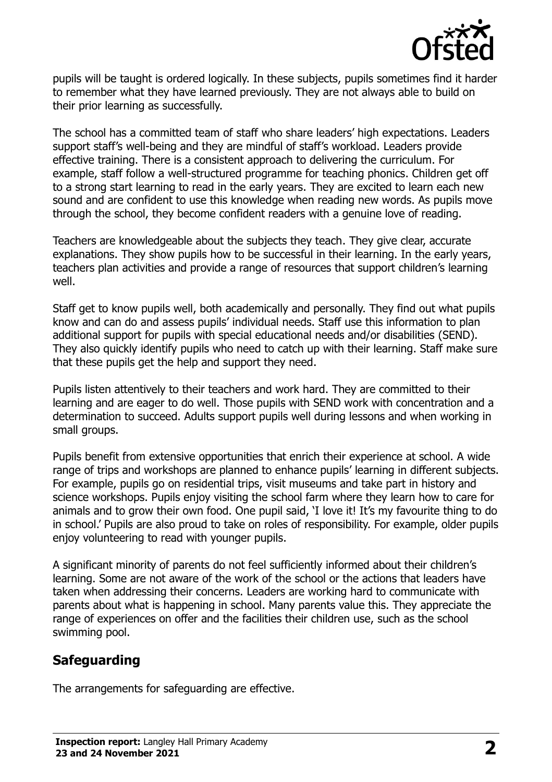

pupils will be taught is ordered logically. In these subjects, pupils sometimes find it harder to remember what they have learned previously. They are not always able to build on their prior learning as successfully.

The school has a committed team of staff who share leaders' high expectations. Leaders support staff's well-being and they are mindful of staff's workload. Leaders provide effective training. There is a consistent approach to delivering the curriculum. For example, staff follow a well-structured programme for teaching phonics. Children get off to a strong start learning to read in the early years. They are excited to learn each new sound and are confident to use this knowledge when reading new words. As pupils move through the school, they become confident readers with a genuine love of reading.

Teachers are knowledgeable about the subjects they teach. They give clear, accurate explanations. They show pupils how to be successful in their learning. In the early years, teachers plan activities and provide a range of resources that support children's learning well.

Staff get to know pupils well, both academically and personally. They find out what pupils know and can do and assess pupils' individual needs. Staff use this information to plan additional support for pupils with special educational needs and/or disabilities (SEND). They also quickly identify pupils who need to catch up with their learning. Staff make sure that these pupils get the help and support they need.

Pupils listen attentively to their teachers and work hard. They are committed to their learning and are eager to do well. Those pupils with SEND work with concentration and a determination to succeed. Adults support pupils well during lessons and when working in small groups.

Pupils benefit from extensive opportunities that enrich their experience at school. A wide range of trips and workshops are planned to enhance pupils' learning in different subjects. For example, pupils go on residential trips, visit museums and take part in history and science workshops. Pupils enjoy visiting the school farm where they learn how to care for animals and to grow their own food. One pupil said, 'I love it! It's my favourite thing to do in school.' Pupils are also proud to take on roles of responsibility. For example, older pupils enjoy volunteering to read with younger pupils.

A significant minority of parents do not feel sufficiently informed about their children's learning. Some are not aware of the work of the school or the actions that leaders have taken when addressing their concerns. Leaders are working hard to communicate with parents about what is happening in school. Many parents value this. They appreciate the range of experiences on offer and the facilities their children use, such as the school swimming pool.

# **Safeguarding**

The arrangements for safeguarding are effective.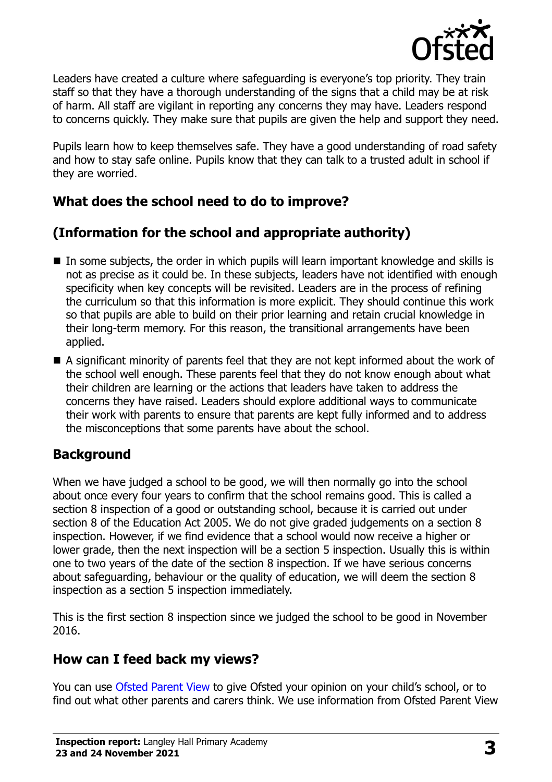

Leaders have created a culture where safeguarding is everyone's top priority. They train staff so that they have a thorough understanding of the signs that a child may be at risk of harm. All staff are vigilant in reporting any concerns they may have. Leaders respond to concerns quickly. They make sure that pupils are given the help and support they need.

Pupils learn how to keep themselves safe. They have a good understanding of road safety and how to stay safe online. Pupils know that they can talk to a trusted adult in school if they are worried.

# **What does the school need to do to improve?**

# **(Information for the school and appropriate authority)**

- In some subjects, the order in which pupils will learn important knowledge and skills is not as precise as it could be. In these subjects, leaders have not identified with enough specificity when key concepts will be revisited. Leaders are in the process of refining the curriculum so that this information is more explicit. They should continue this work so that pupils are able to build on their prior learning and retain crucial knowledge in their long-term memory. For this reason, the transitional arrangements have been applied.
- A significant minority of parents feel that they are not kept informed about the work of the school well enough. These parents feel that they do not know enough about what their children are learning or the actions that leaders have taken to address the concerns they have raised. Leaders should explore additional ways to communicate their work with parents to ensure that parents are kept fully informed and to address the misconceptions that some parents have about the school.

#### **Background**

When we have judged a school to be good, we will then normally go into the school about once every four years to confirm that the school remains good. This is called a section 8 inspection of a good or outstanding school, because it is carried out under section 8 of the Education Act 2005. We do not give graded judgements on a section 8 inspection. However, if we find evidence that a school would now receive a higher or lower grade, then the next inspection will be a section 5 inspection. Usually this is within one to two years of the date of the section 8 inspection. If we have serious concerns about safeguarding, behaviour or the quality of education, we will deem the section 8 inspection as a section 5 inspection immediately.

This is the first section 8 inspection since we judged the school to be good in November 2016.

# **How can I feed back my views?**

You can use [Ofsted Parent View](https://parentview.ofsted.gov.uk/) to give Ofsted your opinion on your child's school, or to find out what other parents and carers think. We use information from Ofsted Parent View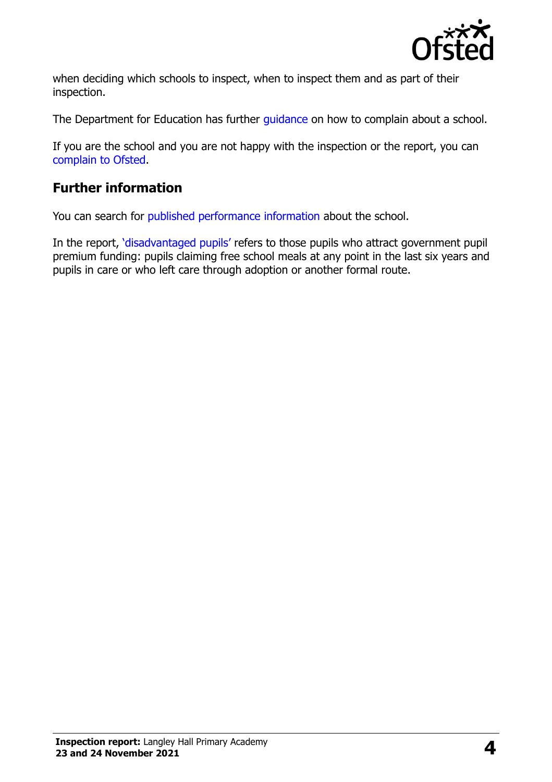

when deciding which schools to inspect, when to inspect them and as part of their inspection.

The Department for Education has further quidance on how to complain about a school.

If you are the school and you are not happy with the inspection or the report, you can [complain to Ofsted.](https://www.gov.uk/complain-ofsted-report)

## **Further information**

You can search for [published performance information](http://www.compare-school-performance.service.gov.uk/) about the school.

In the report, '[disadvantaged pupils](http://www.gov.uk/guidance/pupil-premium-information-for-schools-and-alternative-provision-settings)' refers to those pupils who attract government pupil premium funding: pupils claiming free school meals at any point in the last six years and pupils in care or who left care through adoption or another formal route.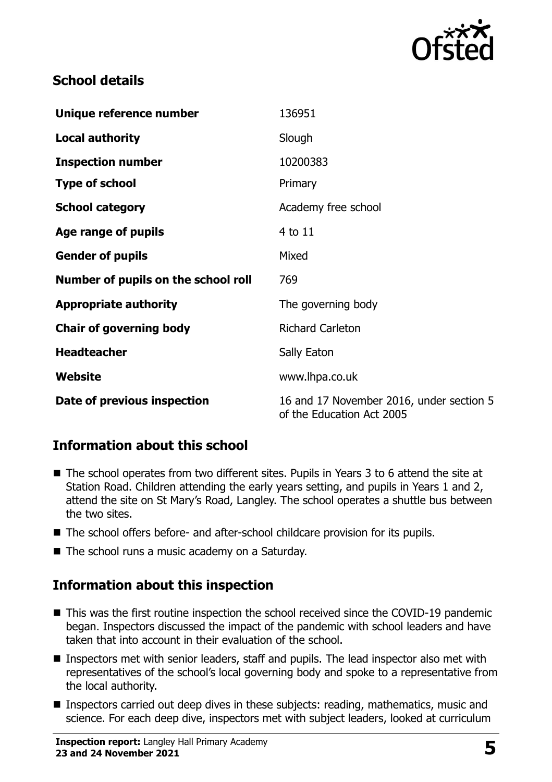

### **School details**

| Unique reference number             | 136951                                                                |
|-------------------------------------|-----------------------------------------------------------------------|
| <b>Local authority</b>              | Slough                                                                |
| <b>Inspection number</b>            | 10200383                                                              |
| <b>Type of school</b>               | Primary                                                               |
| <b>School category</b>              | Academy free school                                                   |
| Age range of pupils                 | 4 to 11                                                               |
| <b>Gender of pupils</b>             | Mixed                                                                 |
| Number of pupils on the school roll | 769                                                                   |
| <b>Appropriate authority</b>        | The governing body                                                    |
| <b>Chair of governing body</b>      | <b>Richard Carleton</b>                                               |
| <b>Headteacher</b>                  | Sally Eaton                                                           |
| Website                             | www.lhpa.co.uk                                                        |
| Date of previous inspection         | 16 and 17 November 2016, under section 5<br>of the Education Act 2005 |

# **Information about this school**

- The school operates from two different sites. Pupils in Years 3 to 6 attend the site at Station Road. Children attending the early years setting, and pupils in Years 1 and 2, attend the site on St Mary's Road, Langley. The school operates a shuttle bus between the two sites.
- The school offers before- and after-school childcare provision for its pupils.
- The school runs a music academy on a Saturday.

# **Information about this inspection**

- This was the first routine inspection the school received since the COVID-19 pandemic began. Inspectors discussed the impact of the pandemic with school leaders and have taken that into account in their evaluation of the school.
- Inspectors met with senior leaders, staff and pupils. The lead inspector also met with representatives of the school's local governing body and spoke to a representative from the local authority.
- **Inspectors carried out deep dives in these subjects: reading, mathematics, music and** science. For each deep dive, inspectors met with subject leaders, looked at curriculum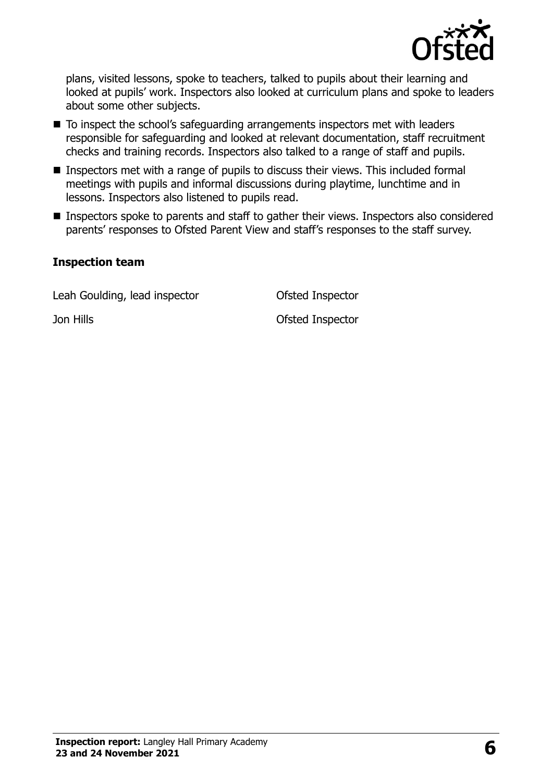

plans, visited lessons, spoke to teachers, talked to pupils about their learning and looked at pupils' work. Inspectors also looked at curriculum plans and spoke to leaders about some other subjects.

- To inspect the school's safeguarding arrangements inspectors met with leaders responsible for safeguarding and looked at relevant documentation, staff recruitment checks and training records. Inspectors also talked to a range of staff and pupils.
- **Inspectors met with a range of pupils to discuss their views. This included formal** meetings with pupils and informal discussions during playtime, lunchtime and in lessons. Inspectors also listened to pupils read.
- Inspectors spoke to parents and staff to gather their views. Inspectors also considered parents' responses to Ofsted Parent View and staff's responses to the staff survey.

#### **Inspection team**

Leah Goulding, lead inspector **Contact Contact Contact Contact Contact Contact Contact Contact Contact Contact Contact Contact Contact Contact Contact Contact Contact Contact Contact Contact Contact Contact Contact Contact** 

Jon Hills Ofsted Inspector